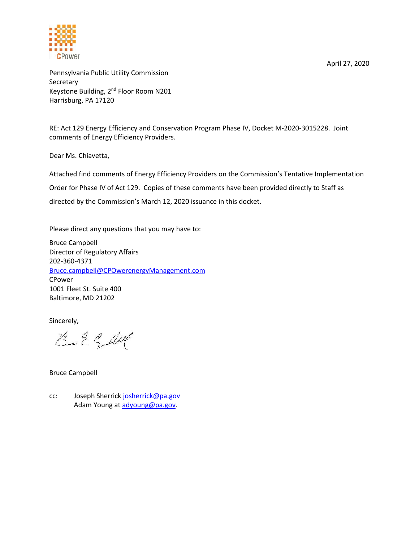

April 27, 2020

Pennsylvania Public Utility Commission **Secretary** Keystone Building, 2nd Floor Room N201 Harrisburg, PA 17120

RE: Act 129 Energy Efficiency and Conservation Program Phase IV, Docket M-2020-3015228. Joint comments of Energy Efficiency Providers.

Dear Ms. Chiavetta,

Attached find comments of Energy Efficiency Providers on the Commission's Tentative Implementation

Order for Phase IV of Act 129. Copies of these comments have been provided directly to Staff as

directed by the Commission's March 12, 2020 issuance in this docket.

Please direct any questions that you may have to:

Bruce Campbell Director of Regulatory Affairs 202-360-4371 Bruce.campbell@CPOwerenergyManagement.com CPower 1001 Fleet St. Suite 400 Baltimore, MD 21202

Sincerely,

 $B - 2$   $C$  duf

Bruce Campbell

cc: Joseph Sherrick josherrick@pa.gov Adam Young at adyoung@pa.gov.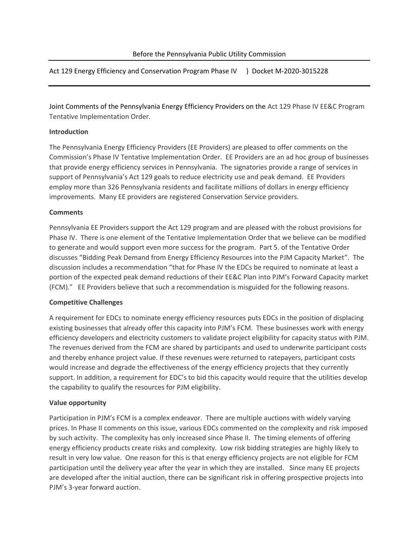Act 129 Energy Efficiency and Conservation Program Phase IV ) Docket M-2020-3015228

Joint Comments of the Pennsylvania Energy Efficiency Providers on the Act 129 Phase IV EE&C Program Tentative Implementation Order.

## **Introduction**

The Pennsylvania Energy Efficiency Providers (EE Providers) are pleased to offer comments on the Commission's Phase IV Tentative Implementation Order. EE Providers are an ad hoc group of businesses that provide energy efficiency services in Pennsylvania. The signatories provide a range of services in support of Pennsylvania's Act 129 goals to reduce electricity use and peak demand. EE Providers employ more than 326 Pennsylvania residents and facilitate millions of dollars in energy efficiency improvements. Many EE providers are registered Conservation Service providers.

#### **Comments**

Pennsylvania EE Providers support the Act 129 program and are pleased with the robust provisions for Phase IV. There is one element of the Tentative Implementation Order that we believe can be modified to generate and would support even more success for the program. Part 5. of the Tentative Order discusses "Bidding Peak Demand from Energy Efficiency Resources into the PJM Capacity Market". The discussion includes a recommendation "that for Phase IV the EDCs be required to nominate at least a portion of the expected peak demand reductions of their EE&C Plan into PJM's Forward Capacity market (FCM)." EE Providers believe that such a recommendation is misguided for the following reasons.

## **Competitive Challenges**

A requirement for EDCs to nominate energy efficiency resources puts EDCs in the position of displacing existing businesses that already offer this capacity into PJM's FCM. These businesses work with energy efficiency developers and electricity customers to validate project eligibility for capacity status with PJM. The revenues derived from the FCM are shared by participants and used to underwrite participant costs and thereby enhance project value. If these revenues were returned to ratepayers, participant costs would increase and degrade the effectiveness of the energy efficiency projects that they currently support. In addition, a requirement for EDC's to bid this capacity would require that the utilities develop the capability to qualify the resources for PJM eligibility.

## **Value opportunity**

Participation in PJM's FCM is a complex endeavor. There are multiple auctions with widely varying prices. In Phase II comments on this issue, various EDCs commented on the complexity and risk imposed by such activity. The complexity has only increased since Phase II. The timing elements of offering energy efficiency products create risks and complexity. Low risk bidding strategies are highly likely to result in very low value. One reason for this is that energy efficiency projects are not eligible for FCM participation until the delivery year after the year in which they are installed. Since many EE projects are developed after the initial auction, there can be significant risk in offering prospective projects into PJM's 3-year forward auction.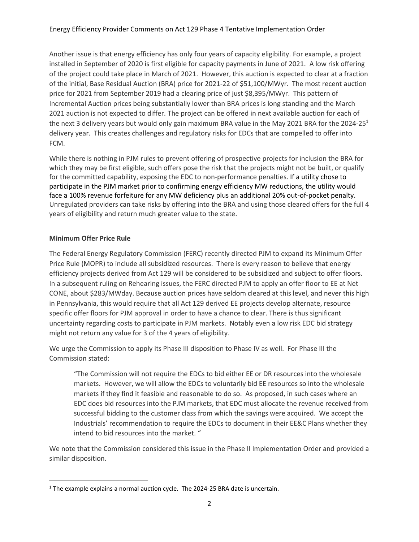Another issue is that energy efficiency has only four years of capacity eligibility. For example, a project installed in September of 2020 is first eligible for capacity payments in June of 2021. A low risk offering of the project could take place in March of 2021. However, this auction is expected to clear at a fraction of the initial, Base Residual Auction (BRA) price for 2021-22 of \$51,100/MWyr. The most recent auction price for 2021 from September 2019 had a clearing price of just \$8,395/MWyr. This pattern of Incremental Auction prices being substantially lower than BRA prices is long standing and the March 2021 auction is not expected to differ. The project can be offered in next available auction for each of the next 3 delivery years but would only gain maximum BRA value in the May 2021 BRA for the 2024-25<sup>1</sup> delivery year. This creates challenges and regulatory risks for EDCs that are compelled to offer into FCM.

While there is nothing in PJM rules to prevent offering of prospective projects for inclusion the BRA for which they may be first eligible, such offers pose the risk that the projects might not be built, or qualify for the committed capability, exposing the EDC to non-performance penalties. If a utility chose to participate in the PJM market prior to confirming energy efficiency MW reductions, the utility would face a 100% revenue forfeiture for any MW deficiency plus an additional 20% out-of-pocket penalty. Unregulated providers can take risks by offering into the BRA and using those cleared offers for the full 4 years of eligibility and return much greater value to the state.

# **Minimum Offer Price Rule**

The Federal Energy Regulatory Commission (FERC) recently directed PJM to expand its Minimum Offer Price Rule (MOPR) to include all subsidized resources. There is every reason to believe that energy efficiency projects derived from Act 129 will be considered to be subsidized and subject to offer floors. In a subsequent ruling on Rehearing issues, the FERC directed PJM to apply an offer floor to EE at Net CONE, about \$283/MWday. Because auction prices have seldom cleared at this level, and never this high in Pennsylvania, this would require that all Act 129 derived EE projects develop alternate, resource specific offer floors for PJM approval in order to have a chance to clear. There is thus significant uncertainty regarding costs to participate in PJM markets. Notably even a low risk EDC bid strategy might not return any value for 3 of the 4 years of eligibility.

We urge the Commission to apply its Phase III disposition to Phase IV as well. For Phase III the Commission stated:

"The Commission will not require the EDCs to bid either EE or DR resources into the wholesale markets. However, we will allow the EDCs to voluntarily bid EE resources so into the wholesale markets if they find it feasible and reasonable to do so. As proposed, in such cases where an EDC does bid resources into the PJM markets, that EDC must allocate the revenue received from successful bidding to the customer class from which the savings were acquired. We accept the Industrials' recommendation to require the EDCs to document in their EE&C Plans whether they intend to bid resources into the market. "

We note that the Commission considered this issue in the Phase II Implementation Order and provided a similar disposition.

<sup>&</sup>lt;sup>1</sup> The example explains a normal auction cycle. The 2024-25 BRA date is uncertain.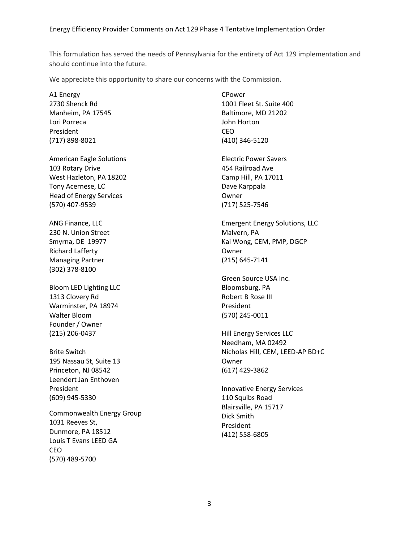This formulation has served the needs of Pennsylvania for the entirety of Act 129 implementation and should continue into the future.

We appreciate this opportunity to share our concerns with the Commission.

A1 Energy 2730 Shenck Rd Manheim, PA 17545 Lori Porreca President (717) 898-8021

American Eagle Solutions 103 Rotary Drive West Hazleton, PA 18202 Tony Acernese, LC Head of Energy Services (570) 407-9539

ANG Finance, LLC 230 N. Union Street Smyrna, DE 19977 Richard Lafferty Managing Partner (302) 378-8100

Bloom LED Lighting LLC 1313 Clovery Rd Warminster, PA 18974 Walter Bloom Founder / Owner (215) 206-0437

Brite Switch 195 Nassau St, Suite 13 Princeton, NJ 08542 Leendert Jan Enthoven President (609) 945-5330

Commonwealth Energy Group 1031 Reeves St, Dunmore, PA 18512 Louis T Evans LEED GA CEO (570) 489-5700

CPower 1001 Fleet St. Suite 400 Baltimore, MD 21202 John Horton CEO (410) 346-5120

Electric Power Savers 454 Railroad Ave Camp Hill, PA 17011 Dave Karppala Owner (717) 525-7546

Emergent Energy Solutions, LLC Malvern, PA Kai Wong, CEM, PMP, DGCP Owner (215) 645-7141

Green Source USA Inc. Bloomsburg, PA Robert B Rose III President (570) 245-0011

Hill Energy Services LLC Needham, MA 02492 Nicholas Hill, CEM, LEED-AP BD+C Owner (617) 429-3862

Innovative Energy Services 110 Squibs Road Blairsville, PA 15717 Dick Smith President (412) 558-6805